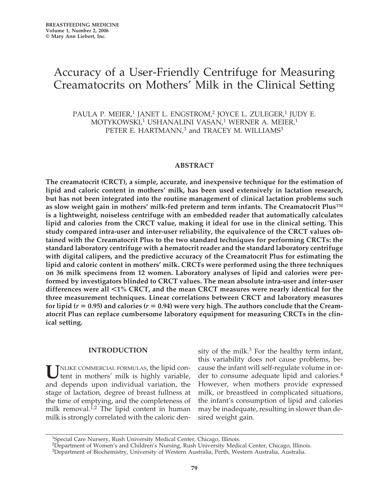# Accuracy of a User-Friendly Centrifuge for Measuring Creamatocrits on Mothers' Milk in the Clinical Setting

PAULA P. MEIER,<sup>1</sup> JANET L. ENGSTROM,<sup>2</sup> JOYCE L. ZULEGER,<sup>1</sup> JUDY E. MOTYKOWSKI,<sup>1</sup> USHANALINI VASAN,<sup>1</sup> WERNER A. MEIER,<sup>1</sup> PETER E. HARTMANN,<sup>3</sup> and TRACEY M. WILLIAMS<sup>3</sup>

#### **ABSTRACT**

**The creamatocrit (CRCT), a simple, accurate, and inexpensive technique for the estimation of lipid and caloric content in mothers' milk, has been used extensively in lactation research, but has not been integrated into the routine management of clinical lactation problems such as slow weight gain in mothers' milk-fed preterm and term infants. The Creamatocrit Plus™ is a lightweight, noiseless centrifuge with an embedded reader that automatically calculates lipid and calories from the CRCT value, making it ideal for use in the clinical setting. This study compared intra-user and inter-user reliability, the equivalence of the CRCT values obtained with the Creamatocrit Plus to the two standard techniques for performing CRCTs: the standard laboratory centrifuge with a hematocrit reader and the standard laboratory centrifuge with digital calipers, and the predictive accuracy of the Creamatocrit Plus for estimating the lipid and caloric content in mothers' milk. CRCTs were performed using the three techniques on 36 milk specimens from 12 women. Laboratory analyses of lipid and calories were performed by investigators blinded to CRCT values. The mean absolute intra-user and inter-user differences were all -1% CRCT, and the mean CRCT measures were nearly identical for the three measurement techniques. Linear correlations between CRCT and laboratory measures** for lipid ( $r = 0.95$ ) and calories ( $r = 0.94$ ) were very high. The authors conclude that the Cream**atocrit Plus can replace cumbersome laboratory equipment for measuring CRCTs in the clinical setting.**

#### **INTRODUCTION**

UNLIKE COMMERCIAL FORMULAS, the lipid con-<br>tent in mothers' milk is highly variable, and depends upon individual variation, the stage of lactation, degree of breast fullness at the time of emptying, and the completeness of milk removal. $1,2$  The lipid content in human milk is strongly correlated with the caloric den-

sity of the milk. $3$  For the healthy term infant, this variability does not cause problems, because the infant will self-regulate volume in order to consume adequate lipid and calories.<sup>4</sup> However, when mothers provide expressed milk, or breastfeed in complicated situations, the infant's consumption of lipid and calories may be inadequate, resulting in slower than desired weight gain.

<sup>&</sup>lt;sup>1</sup>Special Care Nursery, Rush University Medical Center, Chicago, Illinois.

<sup>&</sup>lt;sup>2</sup>Department of Women's and Children's Nursing, Rush University Medical Center, Chicago, Illinois.

<sup>3</sup>Department of Biochemistry, University of Western Australia, Perth, Western Australia, Australia.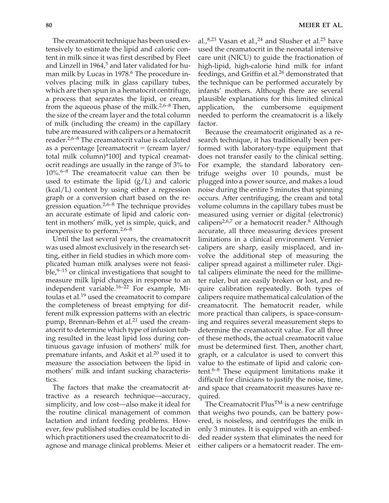The creamatocrit technique has been used extensively to estimate the lipid and caloric content in milk since it was first described by Fleet and Linzell in  $1964<sup>5</sup>$  and later validated for human milk by Lucas in 1978.<sup>6</sup> The procedure involves placing milk in glass capillary tubes, which are then spun in a hematocrit centrifuge, a process that separates the lipid, or cream, from the aqueous phase of the milk. $2,6-8$  Then, the size of the cream layer and the total column of milk (including the cream) in the capillary tube are measured with calipers or a hematocrit reader.2,6–8 The creamatocrit value is calculated as a percentage [creamatocrit = (cream layer/ total milk column)\*100] and typical creamatocrit readings are usually in the range of 3% to  $10\%$ <sup>6–8</sup> The creamatocrit value can then be used to estimate the lipid  $(g/L)$  and caloric (kcal/L) content by using either a regression graph or a conversion chart based on the regression equation. $2.6-8$  The technique provides an accurate estimate of lipid and caloric content in mothers' milk, yet is simple, quick, and inexpensive to perform.2,6–8

Until the last several years, the creamatocrit was used almost exclusively in the research setting, either in field studies in which more complicated human milk analyses were not feasible, $9-15$  or clinical investigations that sought to measure milk lipid changes in response to an independent variable. $16-22$  For example, Mitoulas et al.<sup>19</sup> used the creamatocrit to compare the completeness of breast emptying for different milk expression patterns with an electric pump, Brennan-Behm et al.<sup>21</sup> used the creamatocrit to determine which type of infusion tubing resulted in the least lipid loss during continuous gavage infusion of mothers' milk for premature infants, and Askit et al.<sup>20</sup> used it to measure the association between the lipid in mothers' milk and infant sucking characteristics.

The factors that make the creamatocrit attractive as a research technique—accuracy, simplicity, and low cost—also make it ideal for the routine clinical management of common lactation and infant feeding problems. However, few published studies could be located in which practitioners used the creamatocrit to diagnose and manage clinical problems. Meier et al., $8,23$  Vasan et al., $24$  and Slusher et al. $25$  have used the creamatocrit in the neonatal intensive care unit (NICU) to guide the fractionation of high-lipid, high-calorie hind milk for infant feedings, and Griffin et al.<sup>26</sup> demonstrated that the technique can be performed accurately by infants' mothers. Although there are several plausible explanations for this limited clinical application, the cumbersome equipment needed to perform the creamatocrit is a likely factor.

Because the creamatocrit originated as a research technique, it has traditionally been performed with laboratory-type equipment that does not transfer easily to the clinical setting. For example, the standard laboratory centrifuge weighs over 10 pounds, must be plugged into a power source, and makes a loud noise during the entire 5 minutes that spinning occurs. After centrifuging, the cream and total volume columns in the capillary tubes must be measured using vernier or digital (electronic) calipers<sup>2,6,7</sup> or a hematocrit reader.<sup>8</sup> Although accurate, all three measuring devices present limitations in a clinical environment. Vernier calipers are sharp, easily misplaced, and involve the additional step of measuring the caliper spread against a millimeter ruler. Digital calipers eliminate the need for the millimeter ruler, but are easily broken or lost, and require calibration repeatedly. Both types of calipers require mathematical calculation of the creamatocrit. The hematocrit reader, while more practical than calipers, is space-consuming and requires several measurement steps to determine the creamatocrit value. For all three of these methods, the actual creamatocrit value must be determined first. Then, another chart, graph, or a calculator is used to convert this value to the estimate of lipid and caloric content.6–8 These equipment limitations make it difficult for clinicians to justify the noise, time, and space that creamatocrit measures have required.

The Creamatocrit Plus<sup>TM</sup> is a new centrifuge that weighs two pounds, can be battery powered, is noiseless, and centrifuges the milk in only 3 minutes. It is equipped with an embedded reader system that eliminates the need for either calipers or a hematocrit reader. The em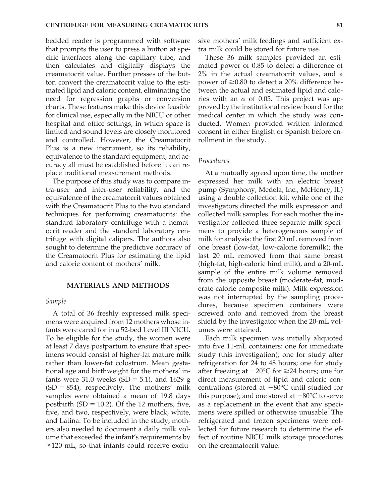bedded reader is programmed with software that prompts the user to press a button at specific interfaces along the capillary tube, and then calculates and digitally displays the creamatocrit value. Further presses of the button convert the creamatocrit value to the estimated lipid and caloric content, eliminating the need for regression graphs or conversion charts. These features make this device feasible for clinical use, especially in the NICU or other hospital and office settings, in which space is limited and sound levels are closely monitored and controlled. However, the Creamatocrit Plus is a new instrument, so its reliability, equivalence to the standard equipment, and accuracy all must be established before it can replace traditional measurement methods.

The purpose of this study was to compare intra-user and inter-user reliability, and the equivalence of the creamatocrit values obtained with the Creamatocrit Plus to the two standard techniques for performing creamatocrits: the standard laboratory centrifuge with a hematocrit reader and the standard laboratory centrifuge with digital calipers. The authors also sought to determine the predictive accuracy of the Creamatocrit Plus for estimating the lipid and calorie content of mothers' milk.

#### **MATERIALS AND METHODS**

#### *Sample*

A total of 36 freshly expressed milk specimens were acquired from 12 mothers whose infants were cared for in a 52-bed Level III NICU. To be eligible for the study, the women were at least 7 days postpartum to ensure that specimens would consist of higher-fat mature milk rather than lower-fat colostrum. Mean gestational age and birthweight for the mothers' infants were 31.0 weeks  $(SD = 5.1)$ , and 1629 g  $(SD = 854)$ , respectively. The mothers' milk samples were obtained a mean of 19.8 days postbirth  $(SD = 10.2)$ . Of the 12 mothers, five, five, and two, respectively, were black, white, and Latina. To be included in the study, mothers also needed to document a daily milk volume that exceeded the infant's requirements by  $\geq$ 120 mL, so that infants could receive exclusive mothers' milk feedings and sufficient extra milk could be stored for future use.

These 36 milk samples provided an estimated power of 0.85 to detect a difference of 2% in the actual creamatocrit values, and a power of  $\geq 0.80$  to detect a 20% difference between the actual and estimated lipid and calories with an  $\alpha$  of 0.05. This project was approved by the institutional review board for the medical center in which the study was conducted. Women provided written informed consent in either English or Spanish before enrollment in the study.

## *Procedures*

At a mutually agreed upon time, the mother expressed her milk with an electric breast pump (Symphony; Medela, Inc., McHenry, IL) using a double collection kit, while one of the investigators directed the milk expression and collected milk samples. For each mother the investigator collected three separate milk specimens to provide a heterogeneous sample of milk for analysis: the first 20 mL removed from one breast (low-fat, low-calorie foremilk); the last 20 mL removed from that same breast (high-fat, high-calorie hind milk), and a 20-mL sample of the entire milk volume removed from the opposite breast (moderate-fat, moderate-calorie composite milk). Milk expression was not interrupted by the sampling procedures, because specimen containers were screwed onto and removed from the breast shield by the investigator when the 20-mL volumes were attained.

Each milk specimen was initially aliquoted into five 11-mL containers: one for immediate study (this investigation); one for study after refrigeration for 24 to 48 hours; one for study after freezing at  $-20^{\circ}$ C for  $\geq 24$  hours; one for direct measurement of lipid and caloric concentrations (stored at  $-80^{\circ}$ C until studied for this purpose); and one stored at  $-80^{\circ}$ C to serve as a replacement in the event that any specimens were spilled or otherwise unusable. The refrigerated and frozen specimens were collected for future research to determine the effect of routine NICU milk storage procedures on the creamatocrit value.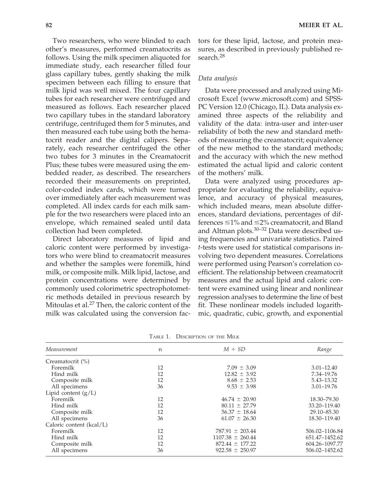Two researchers, who were blinded to each other's measures, performed creamatocrits as follows. Using the milk specimen aliquoted for immediate study, each researcher filled four glass capillary tubes, gently shaking the milk specimen between each filling to ensure that milk lipid was well mixed. The four capillary tubes for each researcher were centrifuged and measured as follows. Each researcher placed two capillary tubes in the standard laboratory centrifuge, centrifuged them for 5 minutes, and then measured each tube using both the hematocrit reader and the digital calipers. Separately, each researcher centrifuged the other two tubes for 3 minutes in the Creamatocrit Plus; these tubes were measured using the embedded reader, as described. The researchers recorded their measurements on preprinted, color-coded index cards, which were turned over immediately after each measurement was completed. All index cards for each milk sample for the two researchers were placed into an envelope, which remained sealed until data collection had been completed.

Direct laboratory measures of lipid and caloric content were performed by investigators who were blind to creamatocrit measures and whether the samples were foremilk, hind milk, or composite milk. Milk lipid, lactose, and protein concentrations were determined by commonly used colorimetric spectrophotometric methods detailed in previous research by Mitoulas et al. $^{27}$  Then, the caloric content of the milk was calculated using the conversion fac-

tors for these lipid, lactose, and protein measures, as described in previously published research.<sup>28</sup>

## *Data analysis*

Data were processed and analyzed using Microsoft Excel (www.microsoft.com) and SPSS-PC Version 12.0 (Chicago, IL). Data analysis examined three aspects of the reliability and validity of the data: intra-user and inter-user reliability of both the new and standard methods of measuring the creamatocrit; equivalence of the new method to the standard methods; and the accuracy with which the new method estimated the actual lipid and caloric content of the mothers' milk.

Data were analyzed using procedures appropriate for evaluating the reliability, equivalence, and accuracy of physical measures, which included means, mean absolute differences, standard deviations, percentages of differences  $\leq 1\%$  and  $\leq 2\%$  creamatocrit, and Bland and Altman plots.<sup>30–32</sup> Data were described using frequencies and univariate statistics. Paired *t*-tests were used for statistical comparisons involving two dependent measures. Correlations were performed using Pearson's correlation coefficient. The relationship between creamatocrit measures and the actual lipid and caloric content were examined using linear and nonlinear regression analyses to determine the line of best fit. These nonlinear models included logarithmic, quadratic, cubic, growth, and exponential

| Measurement              | n  | $M + SD$             | Range          |
|--------------------------|----|----------------------|----------------|
| Creamatocrit (%)         |    |                      |                |
| Foremilk                 | 12 | $7.09 \pm 3.09$      | $3.01 - 12.40$ |
| Hind milk                | 12 | $12.82 \pm 3.92$     | 7.34-19.76     |
| Composite milk           | 12 | $8.68 \pm 2.53$      | 5.43-13.32     |
| All specimens            | 36 | $9.53 \pm 3.98$      | $3.01 - 19.76$ |
| Lipid content $(g/L)$    |    |                      |                |
| Foremilk                 | 12 | $46.74 \pm 20.90$    | 18.30–79.30    |
| Hind milk                | 12 | $80.11 \pm 27.79$    | 33.20-119.40   |
| Composite milk           | 12 | $56.37 \pm 18.64$    | 29.10-85.30    |
| All specimens            | 36 | $61.07 \pm 26.30$    | 18.30-119.40   |
| Caloric content (kcal/L) |    |                      |                |
| Foremilk                 | 12 | $787.91 \pm 203.44$  | 506.02-1106.84 |
| Hind milk                | 12 | $1107.38 \pm 260.44$ | 651.47-1452.62 |
| Composite milk           | 12 | $872.44 \pm 177.22$  | 604.26-1097.77 |
| All specimens            | 36 | $922.58 \pm 250.97$  | 506.02-1452.62 |

TABLE 1. DESCRIPTION OF THE MILK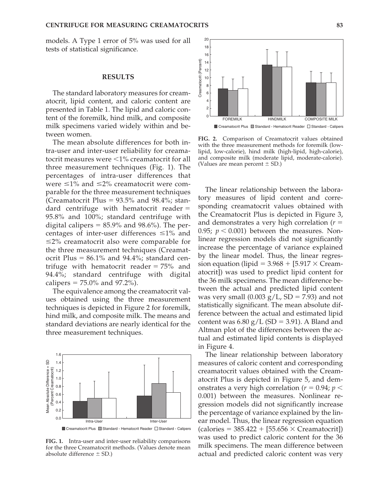models. A Type 1 error of 5% was used for all tests of statistical significance.

## **RESULTS**

The standard laboratory measures for creamatocrit, lipid content, and caloric content are presented in Table 1. The lipid and caloric content of the foremilk, hind milk, and composite milk specimens varied widely within and between women.

The mean absolute differences for both intra-user and inter-user reliability for creamatocrit measures were  $\leq 1\%$  creamatocrit for all three measurement techniques (Fig. 1). The percentages of intra-user differences that were  $\leq 1\%$  and  $\leq 2\%$  creamatocrit were comparable for the three measurement techniques (Creamatocrit Plus =  $93.5\%$  and  $98.4\%$ ; standard centrifuge with hematocrit reader  $=$ 95.8% and 100%; standard centrifuge with digital calipers  $= 85.9\%$  and  $98.6\%$ ). The percentages of inter-user differences  $\leq 1\%$  and  $\leq$ 2% creamatocrit also were comparable for the three measurement techniques (Creamatocrit Plus  $= 86.1\%$  and  $94.4\%$ ; standard centrifuge with hematocrit reader  $= 75\%$  and 94.4%; standard centrifuge with digital calipers - 75.0% and 97.2%).

The equivalence among the creamatocrit values obtained using the three measurement techniques is depicted in Figure 2 for foremilk, hind milk, and composite milk. The means and standard deviations are nearly identical for the three measurement techniques.



**FIG. 1.** Intra-user and inter-user reliability comparisons for the three Creamatocrit methods. (Values denote mean absolute difference  $\pm$  SD.)



**FIG. 2.** Comparison of Creamatocrit values obtained with the three measurement methods for foremilk (lowlipid, low-calorie), hind milk (high-lipid, high-calorie), and composite milk (moderate lipid, moderate-calorie). (Values are mean percent  $\pm$  SD.)

The linear relationship between the laboratory measures of lipid content and corresponding creamatocrit values obtained with the Creamatocrit Plus is depicted in Figure 3, and demonstrates a very high correlation  $(r =$ 0.95;  $p < 0.001$ ) between the measures. Nonlinear regression models did not significantly increase the percentage of variance explained by the linear model. Thus, the linear regression equation (lipid =  $3.968 + [5.917 \times \text{Cream}$ atocrit]) was used to predict lipid content for the 36 milk specimens. The mean difference between the actual and predicted lipid content was very small (0.003  $g/L$ , SD = 7.93) and not statistically significant. The mean absolute difference between the actual and estimated lipid content was  $6.80$  g/L (SD = 3.91). A Bland and Altman plot of the differences between the actual and estimated lipid contents is displayed in Figure 4.

The linear relationship between laboratory measures of caloric content and corresponding creamatocrit values obtained with the Creamatocrit Plus is depicted in Figure 5, and demonstrates a very high correlation ( $r = 0.94$ ;  $p <$ 0.001) between the measures. Nonlinear regression models did not significantly increase the percentage of variance explained by the linear model. Thus, the linear regression equation  $\text{(calories} = 385.422 + [55.656 \times \text{Creamatorit}])$ was used to predict caloric content for the 36 milk specimens. The mean difference between actual and predicted caloric content was very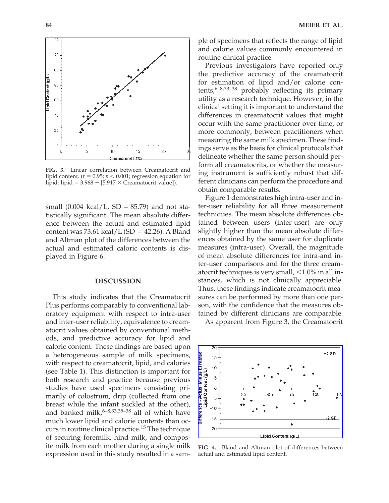

**FIG. 3.** Linear correlation between Creamatocrit and lipid content. ( $r = 0.95; p < 0.001;$  regression equation for lipid: lipid =  $3.968 + [5.917 \times C$ reamatocrit value]).

small  $(0.004 \text{ kcal/L}, SD = 85.79)$  and not statistically significant. The mean absolute difference between the actual and estimated lipid  $\text{content was } 73.61 \text{ kcal/L (SD} = 42.26). \text{ A Bland}$ and Altman plot of the differences between the actual and estimated caloric contents is displayed in Figure 6.

#### **DISCUSSION**

This study indicates that the Creamatocrit Plus performs comparably to conventional laboratory equipment with respect to intra-user and inter-user reliability, equivalence to creamatocrit values obtained by conventional methods, and predictive accuracy for lipid and caloric content. These findings are based upon a heterogeneous sample of milk specimens, with respect to creamatocrit, lipid, and calories (see Table 1). This distinction is important for both research and practice because previous studies have used specimens consisting primarily of colostrum, drip (collected from one breast while the infant suckled at the other), and banked milk, $6-8,33,35-38$  all of which have much lower lipid and calorie contents than occurs in routine clinical practice.<sup>15</sup> The technique of securing foremilk, hind milk, and composite milk from each mother during a single milk expression used in this study resulted in a sample of specimens that reflects the range of lipid and calorie values commonly encountered in routine clinical practice.

Previous investigators have reported only the predictive accuracy of the creamatocrit for estimation of lipid and/or calorie contents, $6-8,33-38$  probably reflecting its primary utility as a research technique. However, in the clinical setting it is important to understand the differences in creamatocrit values that might occur with the same practitioner over time, or more commonly, between practitioners when measuring the same milk specimen. These findings serve as the basis for clinical protocols that delineate whether the same person should perform all creamatocrits, or whether the measuring instrument is sufficiently robust that different clinicians can perform the procedure and obtain comparable results.

Figure 1 demonstrates high intra-user and inter-user reliability for all three measurement techniques. The mean absolute differences obtained between users (inter-user) are only slightly higher than the mean absolute differences obtained by the same user for duplicate measures (intra-user). Overall, the magnitude of mean absolute differences for intra-and inter-user comparisons and for the three creamatocrit techniques is very small,  $<$ 1.0% in all instances, which is not clinically appreciable. Thus, these findings indicate creamatocrit measures can be performed by more than one person, with the confidence that the measures obtained by different clinicians are comparable.

As apparent from Figure 3, the Creamatocrit



**FIG. 4.** Bland and Altman plot of differences between actual and estimated lipid content.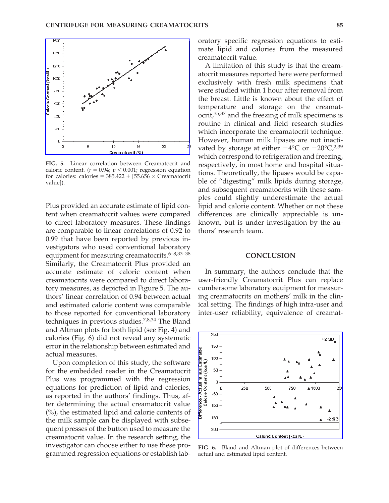

**FIG. 5.** Linear correlation between Creamatocrit and caloric content.  $(r = 0.94; p < 0.001;$  regression equation for calories: calories =  $385.422 + [55.656 \times C$ reamatocrit value]).

Plus provided an accurate estimate of lipid content when creamatocrit values were compared to direct laboratory measures. These findings are comparable to linear correlations of 0.92 to 0.99 that have been reported by previous investigators who used conventional laboratory equipment for measuring creamatocrits.<sup>6–8,33–38</sup> Similarly, the Creamatocrit Plus provided an accurate estimate of caloric content when creamatocrits were compared to direct laboratory measures, as depicted in Figure 5. The authors' linear correlation of 0.94 between actual and estimated calorie content was comparable to those reported for conventional laboratory techniques in previous studies.7,8,34 The Bland and Altman plots for both lipid (see Fig. 4) and calories (Fig. 6) did not reveal any systematic error in the relationship between estimated and actual measures.

Upon completion of this study, the software for the embedded reader in the Creamatocrit Plus was programmed with the regression equations for prediction of lipid and calories, as reported in the authors' findings. Thus, after determining the actual creamatocrit value (%), the estimated lipid and calorie contents of the milk sample can be displayed with subsequent presses of the button used to measure the creamatocrit value. In the research setting, the investigator can choose either to use these programmed regression equations or establish laboratory specific regression equations to estimate lipid and calories from the measured creamatocrit value.

A limitation of this study is that the creamatocrit measures reported here were performed exclusively with fresh milk specimens that were studied within 1 hour after removal from the breast. Little is known about the effect of temperature and storage on the creamatocrit,35,37 and the freezing of milk specimens is routine in clinical and field research studies which incorporate the creamatocrit technique. However, human milk lipases are not inactivated by storage at either  $-4$ °C or  $-20$ °C,<sup>2,39</sup> which correspond to refrigeration and freezing, respectively, in most home and hospital situations. Theoretically, the lipases would be capable of "digesting" milk lipids during storage, and subsequent creamatocrits with these samples could slightly underestimate the actual lipid and calorie content. Whether or not these differences are clinically appreciable is unknown, but is under investigation by the authors' research team.

#### **CONCLUSION**

In summary, the authors conclude that the user-friendly Creamatocrit Plus can replace cumbersome laboratory equipment for measuring creamatocrits on mothers' milk in the clinical setting. The findings of high intra-user and inter-user reliability, equivalence of creamat-



**FIG. 6.** Bland and Altman plot of differences between actual and estimated lipid content.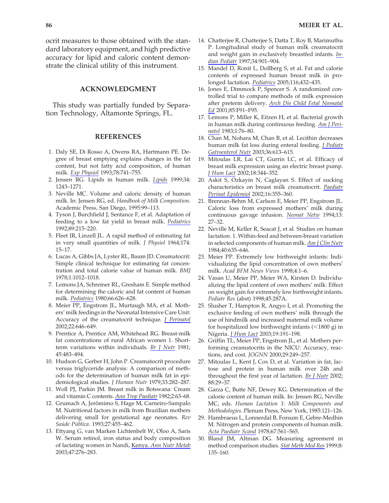ocrit measures to those obtained with the standard laboratory equipment, and high predictive accuracy for lipid and caloric content demonstrate the clinical utility of this instrument.

## **ACKNOWLEDGMENT**

This study was partially funded by Separation Technology, Altamonte Springs, FL.

## **REFERENCES**

- 1. Daly SE, Di Rosso A, Owens RA, Hartmann PE. Degree of breast emptying explains changes in the fat content, but not fatty acid composition, of human milk. *Exp Physiol* 1993;78:741–755.
- 2. Jensen RG. Lipids in human milk. *Lipids* 1999;34: 1243–1271.
- 3. Neville MC. Volume and caloric density of human milk. In: Jensen RG, ed. *Handbook of Milk Composition*. Academic Press, San Diego, 1995:99–113.
- 4. Tyson J, Burchfield J, Sentance F, et al. Adaptation of feeding to a low fat yield in breast milk. *Pediatrics* 1992;89:215–220.
- 5. Fleet IR, Linzell JL. A rapid method of estimating fat in very small quantities of milk. *J Physiol* 1964;174: 15–17.
- 6. Lucas A, Gibbs JA, Lyster RL, Baum JD. Creamatocrit: Simple clinical technique for estimating fat concentration and total calorie value of human milk. *BMJ* 1978;1:1012–1018.
- 7. Lemons JA, Schreiner RL, Gresham E. Simple method for determining the caloric and fat content of human milk. *Pediatrics* 1980;66:626–628.
- 8. Meier PP, Engstrom JL, Murtaugh MA, et al. Mothers' milk feedings in the Neonatal Intensive Care Unit: Accuracy of the creamatocrit technique. *J Perinatol* 2002;22:646–649.
- 9. Prentice A, Prentice AM, Whitehead RG. Breast-milk fat concentrations of rural African women 1. Shortterm variations within individuals. *Br J Nutr* 1981; 45:483–494.
- 10. Hudson G, Gerber H, John P. Creamatocrit procedure versus triglyceride analysis: A comparison of methods for the determination of human milk fat in epidemiological studies. *J Human Nutr* 1979;33:282–287.
- 11. Woll PJ, Parkin JM. Breast milk in Botswana: Cream and vitamin C contents. *Ann Trop Paediatr* 1982;2:63–68.
- 12. Grumach A, Jerômimo S, Hage M, Carneiro-Sampalo M. Nutritional factors in milk from Brazilian mothers delivering small for gestational age neonates. *Rev Saúde Pública*. 1993;27:455–462.
- 13. Ettyang G, van Marken Lichtenbelt W, Oloo A, Saris W. Serum retinol, iron status and body composition of lactating women in Nandi, Kenya. *Ann Nutr Metab* 2003;47:276–283.
- 14. Chatterjee R, Chatterjee S, Datta T, Roy B, Marimuthu P. Longitudinal study of human milk creamatocrit and weight gain in exclusively breastfed infants. *Indian Pediatr* 1997;34:901–904.
- 15. Mandel D, Ronit L, Dollberg S, et al. Fat and calorie contents of expressed human breast milk in prolonged lactation. *Pediatrics* 2005;116;432–435.
- 16. Jones E, Dimmock P, Spencer S. A randomized controlled trial to compare methods of milk expression after preterm delivery. *Arch Dis Child Fetal Neonatal Ed* 2001;85:F91–F95.
- 17. Lemons P, Miller K, Eitzen H, et al. Bacterial growth in human milk during continuous feeding. *Am J Perinatol* 1983;1:76–80.
- 18. Chan M, Nohara M, Chan B, et al. Lecithin decreases human milk fat loss during enteral feeding. *J Pediatr Gatroenterol Nutr* 2003;36:613–615.
- 19. Mitoulas LR, Lai CT, Gurrin LC, et al. Efficacy of breast milk expression using an electric breast pump. *J Hum Lact* 2002;18:344–352.
- 20. Askit S, Ozkayin N, Caglayan S. Effect of sucking characteristics on breast milk creamatocrit. *Paediatr Perinat Epidemiol* 2002;16:355–360.
- 21. Brennan-Behm M, Carlson E, Meier PP, Engstrom JL. Caloric loss from expressed mothers' milk during continuous gavage infusion. *Neonat Netw* 1994;13: 27–32.
- 22. Neville M, Keller R, Seacat J, et al. Studies on human lactation. 1. Within-feed and between-breast variation in selected components of human milk. *Am J Clin Nutr* 1984;40:635–646.
- 23. Meier PP. Extremely low birthweight infants: Individualizing the lipid concentration of own mothers' milk. *Acad BFM News Views* 1998;4:1–6.
- 24. Vasan U, Meier PP, Meier WA, Kirsten D. Individualizing the lipid content of own mothers' milk: Effect on weight gain for extremely low birthweight infants. *Pediatr Res* (abst) 1998;45:287A.
- 25. Slusher T, Hampton R, Angyo I, et al. Promoting the exclusive feeding of own mothers' milk through the use of hindmilk and increased maternal milk volume for hospitalized low birthweight infants  $(<1800 g)$  in Nigeria. *J Hum Lact* 2003;19:191–198.
- 26. Griffin TL, Meier PP, Engstrom JL, et al. Mothers performing creamatocrits in the NICU: Accuracy, reactions, and cost. *JOGNN* 2000;29:249–257.
- 27. Mitoulas L, Kent J, Cox D, et al. Variation in fat, lactose and protein in human milk over 24h and throughout the first year of lactation. *Br J Nutr* 2002; 88:29–37.
- 28. Garza C, Butte NF, Dewey KG. Determination of the calorie content of human milk. In: Jensen RG, Neville MC, eds. *Human Lactation 1: Milk Components and Methodologies*. Plenum Press, New York, 1985:121–126.
- 29. Hambraeus L, Lonnerdal B, Forsum E, Gebre-Medhin M. Nitrogen and protein components of human milk. *Acta Paediatr Scand* 1978;67:561–565.
- 30. Bland JM, Altman DG. Measuring agreement in method comparison studies. *Stat Meth Med Res* 1999;8: 135–160.